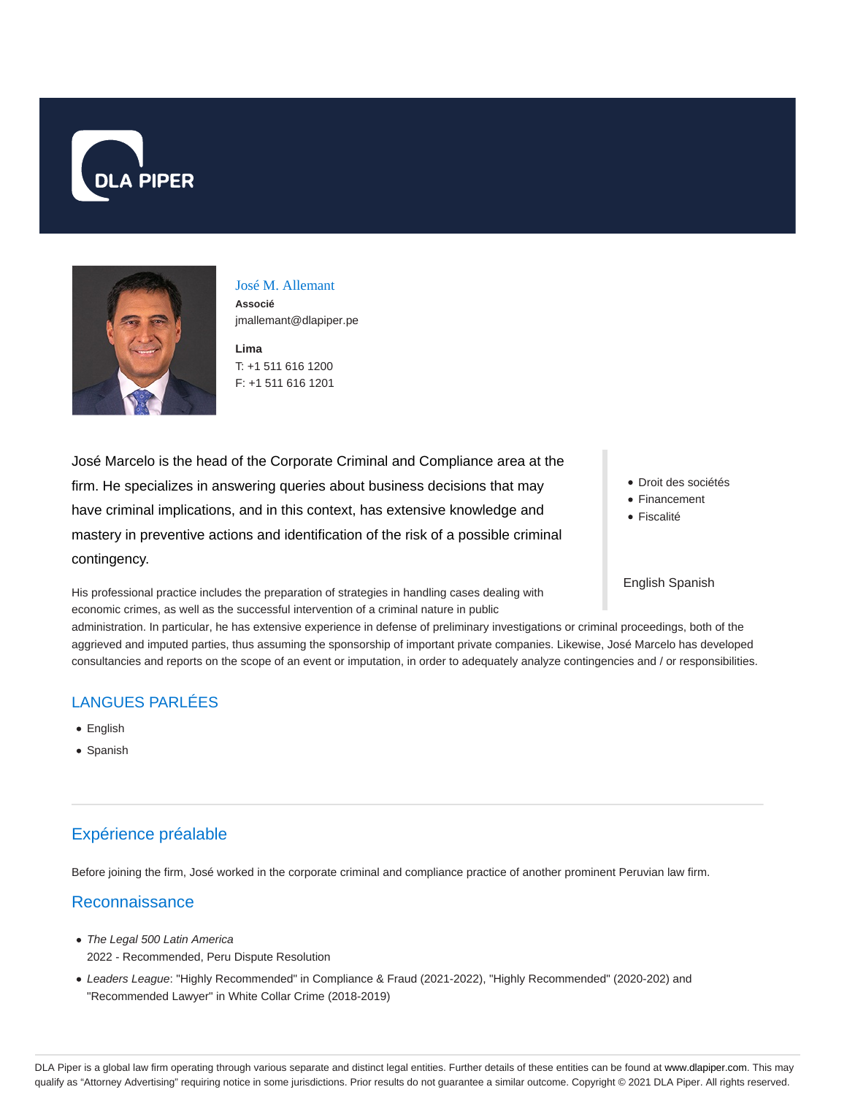



José M. Allemant **Associé** jmallemant@dlapiper.pe

**Lima** T: +1 511 616 1200 F: +1 511 616 1201

José Marcelo is the head of the Corporate Criminal and Compliance area at the firm. He specializes in answering queries about business decisions that may have criminal implications, and in this context, has extensive knowledge and mastery in preventive actions and identification of the risk of a possible criminal contingency.

Droit des sociétés

- Financement
- Fiscalité

#### English Spanish

His professional practice includes the preparation of strategies in handling cases dealing with economic crimes, as well as the successful intervention of a criminal nature in public

administration. In particular, he has extensive experience in defense of preliminary investigations or criminal proceedings, both of the aggrieved and imputed parties, thus assuming the sponsorship of important private companies. Likewise, José Marcelo has developed consultancies and reports on the scope of an event or imputation, in order to adequately analyze contingencies and / or responsibilities.

### LANGUES PARLÉES

- English
- Spanish

### Expérience préalable

Before joining the firm, José worked in the corporate criminal and compliance practice of another prominent Peruvian law firm.

### Reconnaissance

- The Legal 500 Latin America 2022 - Recommended, Peru Dispute Resolution
- Leaders League: "Highly Recommended" in Compliance & Fraud (2021-2022), "Highly Recommended" (2020-202) and "Recommended Lawyer" in White Collar Crime (2018-2019)